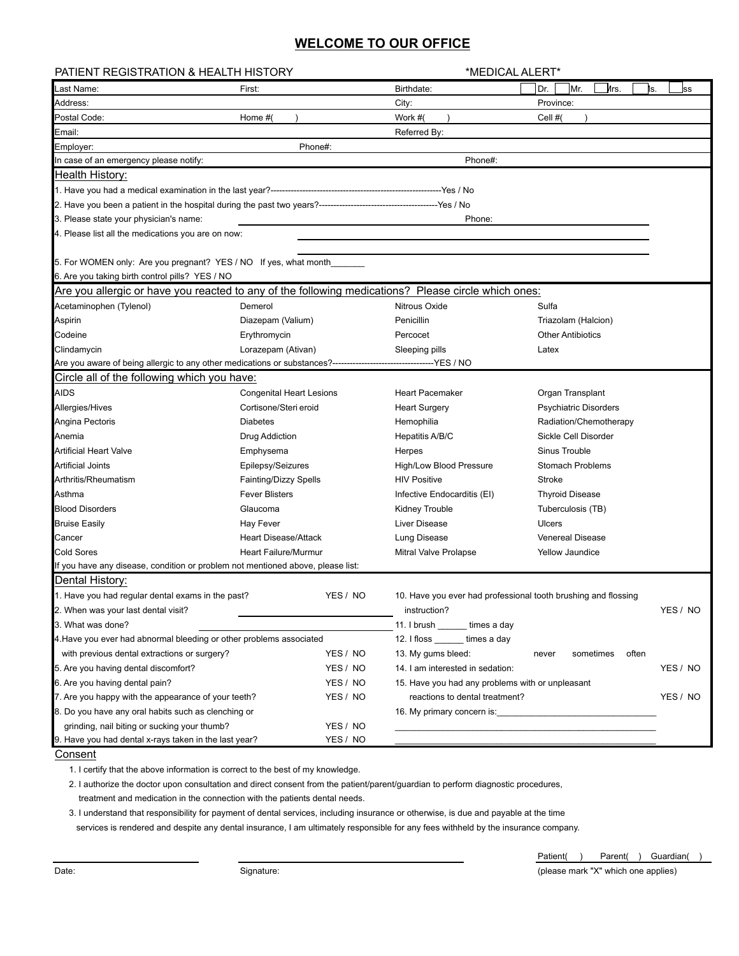## **WELCOME TO OUR OFFICE**

| <b>PATIENT REGISTRATION &amp; HEALTH HISTORY</b>                                                                    |                                 |          | *MEDICAL ALERT*                                                |                              |          |
|---------------------------------------------------------------------------------------------------------------------|---------------------------------|----------|----------------------------------------------------------------|------------------------------|----------|
| .ast Name:                                                                                                          | First:                          |          | Birthdate:                                                     | Mr.<br>Иrs.<br>Dr.<br>ls.    | lss      |
| Address:                                                                                                            |                                 |          | City:                                                          | Province:                    |          |
| Postal Code:                                                                                                        | Home #(                         |          | Work #(                                                        | Cell #(                      |          |
| Email:                                                                                                              |                                 |          | Referred By:                                                   |                              |          |
| Employer:                                                                                                           | Phone#:                         |          |                                                                |                              |          |
| In case of an emergency please notify:                                                                              |                                 |          | Phone#:                                                        |                              |          |
| Health History:                                                                                                     |                                 |          |                                                                |                              |          |
|                                                                                                                     |                                 |          |                                                                |                              |          |
|                                                                                                                     |                                 |          |                                                                |                              |          |
| 3. Please state your physician's name:                                                                              |                                 |          | Phone:                                                         |                              |          |
| 4. Please list all the medications you are on now:                                                                  |                                 |          |                                                                |                              |          |
| 5. For WOMEN only: Are you pregnant? YES / NO If yes, what month<br>6. Are you taking birth control pills? YES / NO |                                 |          |                                                                |                              |          |
| Are you allergic or have you reacted to any of the following medications? Please circle which ones:                 |                                 |          |                                                                |                              |          |
| Acetaminophen (Tylenol)                                                                                             | Demerol                         |          | Nitrous Oxide                                                  | Sulfa                        |          |
| Aspirin                                                                                                             | Diazepam (Valium)               |          | Penicillin                                                     | Triazolam (Halcion)          |          |
| Codeine                                                                                                             | Erythromycin                    |          | Percocet                                                       | <b>Other Antibiotics</b>     |          |
| Clindamycin                                                                                                         | Lorazepam (Ativan)              |          | Sleeping pills                                                 | Latex                        |          |
| Are you aware of being allergic to any other medications or substances?---------------                              |                                 |          | --------------YES / NO                                         |                              |          |
| Circle all of the following which you have:                                                                         |                                 |          |                                                                |                              |          |
| <b>AIDS</b>                                                                                                         | <b>Congenital Heart Lesions</b> |          | <b>Heart Pacemaker</b>                                         | Organ Transplant             |          |
| Allergies/Hives                                                                                                     | Cortisone/Steri eroid           |          | <b>Heart Surgery</b>                                           | <b>Psychiatric Disorders</b> |          |
| Angina Pectoris                                                                                                     | <b>Diabetes</b>                 |          | Hemophilia                                                     | Radiation/Chemotherapy       |          |
| Anemia                                                                                                              | Drug Addiction                  |          | Hepatitis A/B/C                                                | Sickle Cell Disorder         |          |
| <b>Artificial Heart Valve</b>                                                                                       | Emphysema                       |          | Herpes                                                         | Sinus Trouble                |          |
| <b>Artificial Joints</b>                                                                                            | Epilepsy/Seizures               |          | <b>High/Low Blood Pressure</b>                                 | <b>Stomach Problems</b>      |          |
| Arthritis/Rheumatism                                                                                                | Fainting/Dizzy Spells           |          | <b>HIV Positive</b>                                            | Stroke                       |          |
| Asthma                                                                                                              | <b>Fever Blisters</b>           |          | Infective Endocarditis (EI)                                    | <b>Thyroid Disease</b>       |          |
| <b>Blood Disorders</b>                                                                                              | Glaucoma                        |          | <b>Kidney Trouble</b>                                          | Tuberculosis (TB)            |          |
| <b>Bruise Easily</b>                                                                                                | Hay Fever                       |          | Liver Disease                                                  | <b>Ulcers</b>                |          |
| Cancer                                                                                                              | <b>Heart Disease/Attack</b>     |          | Lung Disease                                                   | <b>Venereal Disease</b>      |          |
| <b>Cold Sores</b>                                                                                                   | <b>Heart Failure/Murmur</b>     |          | Mitral Valve Prolapse                                          | Yellow Jaundice              |          |
| If you have any disease, condition or problem not mentioned above, please list:                                     |                                 |          |                                                                |                              |          |
| Dental History:                                                                                                     |                                 |          |                                                                |                              |          |
| 1. Have you had regular dental exams in the past?                                                                   |                                 | YES / NO | 10. Have you ever had professional tooth brushing and flossing |                              |          |
| 2. When was your last dental visit?                                                                                 |                                 |          | instruction?                                                   |                              | YES / NO |
| 3. What was done?                                                                                                   |                                 |          | 11. I brush _______ times a day                                |                              |          |
| 4. Have you ever had abnormal bleeding or other problems associated                                                 |                                 |          | 12. I floss _______ times a day                                |                              |          |
| with previous dental extractions or surgery?<br>YES / NO                                                            |                                 |          | 13. My gums bleed:                                             | often<br>sometimes<br>never  |          |
| 5. Are you having dental discomfort?                                                                                |                                 | YES / NO | 14. I am interested in sedation:                               |                              | YES / NO |
| 6. Are you having dental pain?                                                                                      |                                 | YES / NO | 15. Have you had any problems with or unpleasant               |                              |          |
| 7. Are you happy with the appearance of your teeth?<br>YES / NO                                                     |                                 |          | reactions to dental treatment?                                 |                              | YES / NO |
| 8. Do you have any oral habits such as clenching or<br>16. My primary concern is:                                   |                                 |          |                                                                |                              |          |
| grinding, nail biting or sucking your thumb?                                                                        |                                 | YES / NO |                                                                |                              |          |
| 9. Have you had dental x-rays taken in the last year?<br>C                                                          |                                 | YES / NO |                                                                |                              |          |

**Consent** 

1. I certify that the above information is correct to the best of my knowledge.

 2. I authorize the doctor upon consultation and direct consent from the patient/parent/guardian to perform diagnostic procedures, treatment and medication in the connection with the patients dental needs.

3. I understand that responsibility for payment of dental services, including insurance or otherwise, is due and payable at the time

services is rendered and despite any dental insurance, I am ultimately responsible for any fees withheld by the insurance company.

Date: example of the Signature: Signature: Signature: Signature: state of the Signature: state of the Signature: state of the Signature: state of the Signature: state of the Signature: state of the Signature: state of the